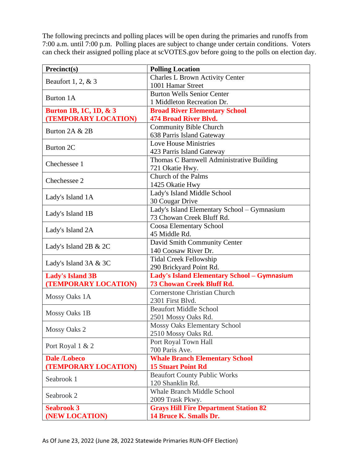The following precincts and polling places will be open during the primaries and runoffs from 7:00 a.m. until 7:00 p.m. Polling places are subject to change under certain conditions. Voters can check their assigned polling place at scVOTES.gov before going to the polls on election day.

| Precinct(s)             | <b>Polling Location</b>                            |
|-------------------------|----------------------------------------------------|
| Beaufort 1, 2, $& 3$    | <b>Charles L Brown Activity Center</b>             |
|                         | 1001 Hamar Street                                  |
| Burton 1A               | <b>Burton Wells Senior Center</b>                  |
|                         | 1 Middleton Recreation Dr.                         |
| Burton 1B, 1C, 1D, & 3  | <b>Broad River Elementary School</b>               |
| (TEMPORARY LOCATION)    | <b>474 Broad River Blvd.</b>                       |
| Burton 2A & 2B          | <b>Community Bible Church</b>                      |
|                         | 638 Parris Island Gateway                          |
| Burton 2C               | <b>Love House Ministries</b>                       |
|                         | 423 Parris Island Gateway                          |
| Chechessee 1            | Thomas C Barnwell Administrative Building          |
|                         | 721 Okatie Hwy.                                    |
| Chechessee 2            | Church of the Palms                                |
|                         | 1425 Okatie Hwy                                    |
|                         | Lady's Island Middle School                        |
| Lady's Island 1A        | 30 Cougar Drive                                    |
|                         | Lady's Island Elementary School - Gymnasium        |
| Lady's Island 1B        | 73 Chowan Creek Bluff Rd.                          |
| Lady's Island 2A        | Coosa Elementary School                            |
|                         | 45 Middle Rd.                                      |
|                         | David Smith Community Center                       |
| Lady's Island 2B & 2C   | 140 Coosaw River Dr.                               |
| Lady's Island $3A & 3C$ | <b>Tidal Creek Fellowship</b>                      |
|                         | 290 Brickyard Point Rd.                            |
| <b>Lady's Island 3B</b> | <b>Lady's Island Elementary School - Gymnasium</b> |
| (TEMPORARY LOCATION)    | <b>73 Chowan Creek Bluff Rd.</b>                   |
|                         | <b>Cornerstone Christian Church</b>                |
| Mossy Oaks 1A           | 2301 First Blvd.                                   |
| Mossy Oaks 1B           | <b>Beaufort Middle School</b>                      |
|                         | 2501 Mossy Oaks Rd.                                |
|                         | <b>Mossy Oaks Elementary School</b>                |
| <b>Mossy Oaks 2</b>     | 2510 Mossy Oaks Rd.                                |
|                         | Port Royal Town Hall                               |
| Port Royal 1 & 2        | 700 Paris Ave.                                     |
| <b>Dale /Lobeco</b>     | <b>Whale Branch Elementary School</b>              |
| (TEMPORARY LOCATION)    | <b>15 Stuart Point Rd</b>                          |
| Seabrook 1              | <b>Beaufort County Public Works</b>                |
|                         | 120 Shanklin Rd.                                   |
| Seabrook 2              | <b>Whale Branch Middle School</b>                  |
|                         | 2009 Trask Pkwy.                                   |
| <b>Seabrook 3</b>       | <b>Grays Hill Fire Department Station 82</b>       |
| (NEW LOCATION)          | 14 Bruce K. Smalls Dr.                             |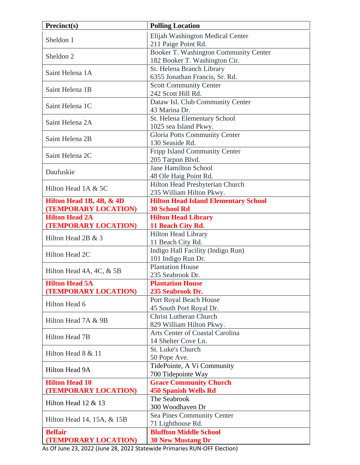| Precinct(s)                                  | <b>Polling Location</b>                            |
|----------------------------------------------|----------------------------------------------------|
| Sheldon 1                                    | Elijah Washington Medical Center                   |
|                                              | 211 Paige Point Rd.                                |
| Sheldon <sub>2</sub>                         | Booker T. Washington Community Center              |
|                                              | 182 Booker T. Washington Cir.                      |
|                                              | St. Helena Branch Library                          |
| Saint Helena 1A                              | 6355 Jonathan Francis, Sr. Rd.                     |
|                                              | <b>Scott Community Center</b>                      |
| Saint Helena 1B                              | 242 Scott Hill Rd.                                 |
|                                              | Dataw Isl. Club Community Center                   |
| Saint Helena 1C                              | 43 Marina Dr.                                      |
|                                              | St. Helena Elementary School                       |
| Saint Helena 2A                              | 1025 sea Island Pkwy.                              |
|                                              | Gloria Potts Community Center                      |
| Saint Helena 2B                              | 130 Seaside Rd.                                    |
| Saint Helena 2C                              | <b>Fripp Island Community Center</b>               |
|                                              | 205 Tarpon Blvd.                                   |
| Daufuskie                                    | <b>Jane Hamilton School</b>                        |
|                                              | 48 Ole Haig Point Rd.                              |
| Hilton Head 1A & 5C                          | Hilton Head Presbyterian Church                    |
|                                              | 235 William Hilton Pkwy.                           |
| Hilton Head 1B, 4B, & 4D                     | <b>Hilton Head Island Elementary School</b>        |
| (TEMPORARY LOCATION)                         | <b>30 School Rd</b>                                |
| <b>Hilton Head 2A</b>                        | <b>Hilton Head Library</b>                         |
| (TEMPORARY LOCATION)                         | 11 Beach City Rd.                                  |
| Hilton Head 2B & 3                           | <b>Hilton Head Library</b>                         |
|                                              | 11 Beach City Rd.                                  |
| Hilton Head 2C                               | Indigo Hall Facility (Indigo Run)                  |
|                                              | 101 Indigo Run Dr.                                 |
| Hilton Head 4A, 4C, & 5B                     | <b>Plantation House</b>                            |
|                                              | 235 Seabrook Dr.                                   |
| <b>Hilton Head 5A</b>                        | <b>Plantation House</b>                            |
| (TEMPORARY LOCATION)                         | 235 Seabrook Dr.                                   |
| Hilton Head 6                                | Port Royal Beach House                             |
|                                              | 45 South Port Royal Dr.                            |
| Hilton Head 7A & 9B                          | <b>Christ Lutheran Church</b>                      |
|                                              | 829 William Hilton Pkwy.                           |
| Hilton Head 7B                               | Arts Center of Coastal Carolina                    |
|                                              | 14 Shelter Cove Ln.                                |
| Hilton Head 8 & 11                           | St. Luke's Church                                  |
|                                              | 50 Pope Ave.                                       |
| Hilton Head 9A                               | TidePointe, A Vi Community                         |
|                                              | 700 Tidepointe Way                                 |
| <b>Hilton Head 10</b>                        | <b>Grace Community Church</b>                      |
| (TEMPORARY LOCATION)                         | <b>450 Spanish Wells Rd</b><br>The Seabrook        |
| Hilton Head 12 & 13                          | 300 Woodhaven Dr                                   |
| Hilton Head 14, 15A, & 15B<br><b>Belfair</b> |                                                    |
|                                              | Sea Pines Community Center                         |
|                                              | 71 Lighthouse Rd.<br><b>Bluffton Middle School</b> |
| (TEMPORARY LOCATION)                         | <b>30 New Mustang Dr</b>                           |
|                                              |                                                    |

As Of June 23, 2022 (June 28, 2022 Statewide Primaries RUN-OFF Election)